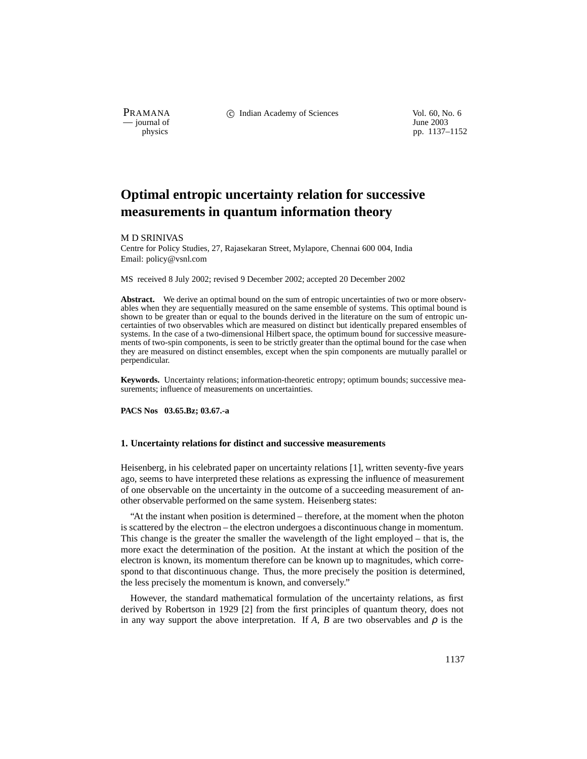$\frac{1}{\text{p}}$  journal of

PRAMANA 
compared in the C Indian Academy of Sciences 
compared in the Vol. 60, No. 6<br>
compared in the Vol. 60, No. 6

pp. 1137–1152

# **Optimal entropic uncertainty relation for successive measurements in quantum information theory**

## M D SRINIVAS

Centre for Policy Studies, 27, Rajasekaran Street, Mylapore, Chennai 600 004, India Email: policy@vsnl.com

MS received 8 July 2002; revised 9 December 2002; accepted 20 December 2002

**Abstract.** We derive an optimal bound on the sum of entropic uncertainties of two or more observables when they are sequentially measured on the same ensemble of systems. This optimal bound is shown to be greater than or equal to the bounds derived in the literature on the sum of entropic uncertainties of two observables which are measured on distinct but identically prepared ensembles of systems. In the case of a two-dimensional Hilbert space, the optimum bound for successive measurements of two-spin components, is seen to be strictly greater than the optimal bound for the case when they are measured on distinct ensembles, except when the spin components are mutually parallel or perpendicular.

**Keywords.** Uncertainty relations; information-theoretic entropy; optimum bounds; successive measurements; influence of measurements on uncertainties.

**PACS Nos 03.65.Bz; 03.67.-a**

# **1. Uncertainty relations for distinct and successive measurements**

Heisenberg, in his celebrated paper on uncertainty relations [1], written seventy-five years ago, seems to have interpreted these relations as expressing the influence of measurement of one observable on the uncertainty in the outcome of a succeeding measurement of another observable performed on the same system. Heisenberg states:

"At the instant when position is determined – therefore, at the moment when the photon is scattered by the electron – the electron undergoes a discontinuous change in momentum. This change is the greater the smaller the wavelength of the light employed – that is, the more exact the determination of the position. At the instant at which the position of the electron is known, its momentum therefore can be known up to magnitudes, which correspond to that discontinuous change. Thus, the more precisely the position is determined, the less precisely the momentum is known, and conversely."

However, the standard mathematical formulation of the uncertainty relations, as first derived by Robertson in 1929 [2] from the first principles of quantum theory, does not in any way support the above interpretation. If *A*, *B* are two observables and  $\rho$  is the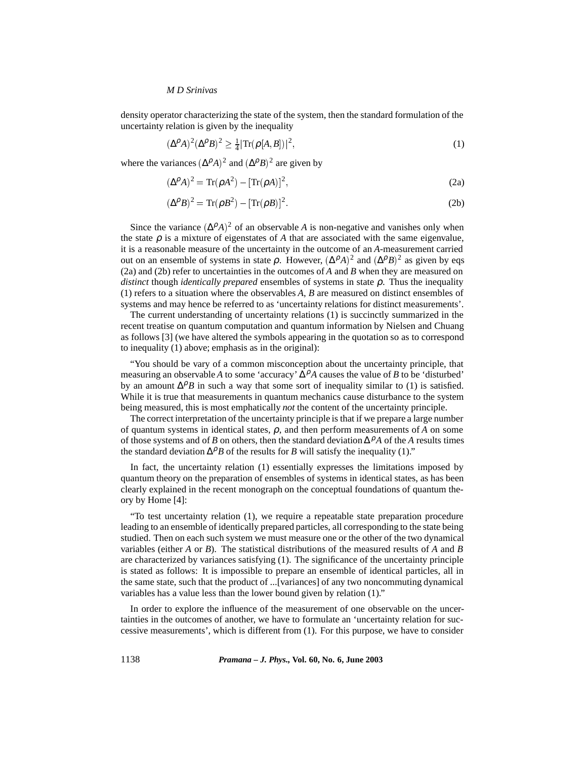density operator characterizing the state of the system, then the standard formulation of the uncertainty relation is given by the inequality

$$
(\Delta^{\rho}A)^2(\Delta^{\rho}B)^2 \ge \frac{1}{4}|\text{Tr}(\rho[A,B])|^2,\tag{1}
$$

where the variances  $({\Delta}^{\rho} A)^2$  and  $({\Delta}^{\rho} B)^2$  are given by

$$
(\Delta^{\rho} A)^2 = \text{Tr}(\rho A^2) - [\text{Tr}(\rho A)]^2,\tag{2a}
$$

$$
(\Delta^{\rho} B)^2 = \text{Tr}(\rho B^2) - [\text{Tr}(\rho B)]^2. \tag{2b}
$$

Since the variance  $({\Delta}^{\rho} A)^2$  of an observable *A* is non-negative and vanishes only when the state  $\rho$  is a mixture of eigenstates of  $A$  that are associated with the same eigenvalue, it is a reasonable measure of the uncertainty in the outcome of an *A*-measurement carried out on an ensemble of systems in state *ρ*. However,  $(Δ<sup>ρ</sup>A)<sup>2</sup>$  and  $(Δ<sup>ρ</sup>B)<sup>2</sup>$  as given by eqs (2a) and (2b) refer to uncertainties in the outcomes of *A* and *B* when they are measured on *distinct* though *identically prepared* ensembles of systems in state  $\rho$ . Thus the inequality (1) refers to a situation where the observables *A*, *B* are measured on distinct ensembles of systems and may hence be referred to as 'uncertainty relations for distinct measurements'.

The current understanding of uncertainty relations (1) is succinctly summarized in the recent treatise on quantum computation and quantum information by Nielsen and Chuang as follows [3] (we have altered the symbols appearing in the quotation so as to correspond to inequality (1) above; emphasis as in the original):

"You should be vary of a common misconception about the uncertainty principle, that measuring an observable *A* to some 'accuracy'  $\Delta^{\rho}A$  causes the value of *B* to be 'disturbed' by an amount  $\Delta^{\rho}B$  in such a way that some sort of inequality similar to (1) is satisfied. While it is true that measurements in quantum mechanics cause disturbance to the system being measured, this is most emphatically *not* the content of the uncertainty principle.

The correct interpretation of the uncertainty principle is that if we prepare a large number of quantum systems in identical states, ρ, and then perform measurements of *A* on some of those systems and of *B* on others, then the standard deviation  $\Delta^{\rho}A$  of the *A* results times the standard deviation  $\Delta^{\rho}B$  of the results for *B* will satisfy the inequality (1)."

In fact, the uncertainty relation (1) essentially expresses the limitations imposed by quantum theory on the preparation of ensembles of systems in identical states, as has been clearly explained in the recent monograph on the conceptual foundations of quantum theory by Home [4]:

"To test uncertainty relation (1), we require a repeatable state preparation procedure leading to an ensemble of identically prepared particles, all corresponding to the state being studied. Then on each such system we must measure one or the other of the two dynamical variables (either *A* or *B*). The statistical distributions of the measured results of *A* and *B* are characterized by variances satisfying (1). The significance of the uncertainty principle is stated as follows: It is impossible to prepare an ensemble of identical particles, all in the same state, such that the product of ...[variances] of any two noncommuting dynamical variables has a value less than the lower bound given by relation (1)."

In order to explore the influence of the measurement of one observable on the uncertainties in the outcomes of another, we have to formulate an 'uncertainty relation for successive measurements', which is different from (1). For this purpose, we have to consider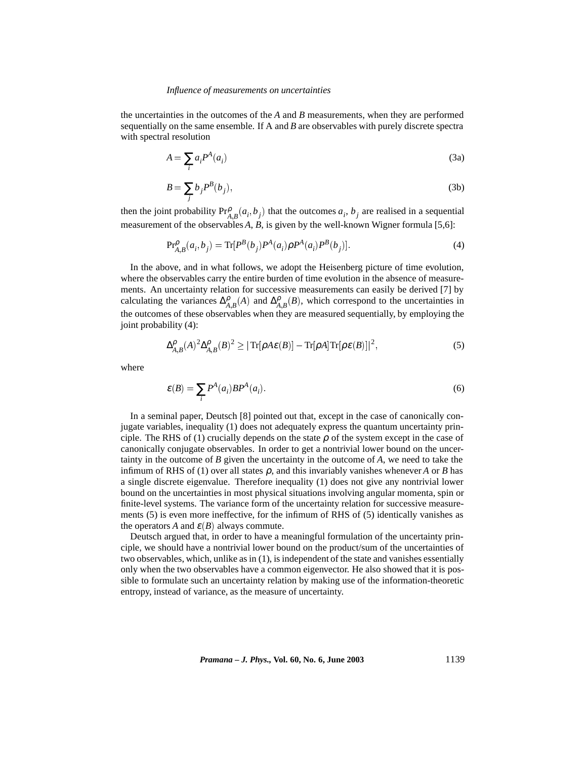the uncertainties in the outcomes of the *A* and *B* measurements, when they are performed sequentially on the same ensemble. If A and *B* are observables with purely discrete spectra with spectral resolution

$$
A = \sum_{i} a_i P^A(a_i) \tag{3a}
$$

$$
B = \sum_{j} b_j P^B(b_j),\tag{3b}
$$

then the joint probability  $Pr^{\rho}_{A,B}(a_i, b_j)$  that the outcomes  $a_i, b_j$  are realised in a sequential measurement of the observables *A*, *B*, is given by the well-known Wigner formula [5,6]:

$$
\Pr_{A,B}^{\rho}(a_i, b_j) = \text{Tr}[P^B(b_j)P^A(a_i)\rho P^A(a_i)P^B(b_j)].
$$
\n(4)

In the above, and in what follows, we adopt the Heisenberg picture of time evolution, where the observables carry the entire burden of time evolution in the absence of measurements. An uncertainty relation for successive measurements can easily be derived [7] by calculating the variances  $\Delta_{A,B}^{\rho}(A)$  and  $\Delta_{A,B}^{\rho}(B)$ , which correspond to the uncertainties in the outcomes of these observables when they are measured sequentially, by employing the joint probability (4):

$$
\Delta_{A,B}^{\rho}(A)^2 \Delta_{A,B}^{\rho}(B)^2 \ge |\operatorname{Tr}[\rho A \varepsilon(B)] - \operatorname{Tr}[\rho A] \operatorname{Tr}[\rho \varepsilon(B)]|^2,\tag{5}
$$

where

$$
\varepsilon(B) = \sum_{i} P^{A}(a_{i}) BP^{A}(a_{i}).
$$
\n(6)

In a seminal paper, Deutsch [8] pointed out that, except in the case of canonically conjugate variables, inequality (1) does not adequately express the quantum uncertainty principle. The RHS of (1) crucially depends on the state  $\rho$  of the system except in the case of canonically conjugate observables. In order to get a nontrivial lower bound on the uncertainty in the outcome of *B* given the uncertainty in the outcome of *A*, we need to take the infimum of RHS of (1) over all states  $\rho$ , and this invariably vanishes whenever *A* or *B* has a single discrete eigenvalue. Therefore inequality (1) does not give any nontrivial lower bound on the uncertainties in most physical situations involving angular momenta, spin or finite-level systems. The variance form of the uncertainty relation for successive measurements (5) is even more ineffective, for the infimum of RHS of (5) identically vanishes as the operators *A* and  $\varepsilon(B)$  always commute.

Deutsch argued that, in order to have a meaningful formulation of the uncertainty principle, we should have a nontrivial lower bound on the product/sum of the uncertainties of two observables, which, unlike as in (1), is independent of the state and vanishes essentially only when the two observables have a common eigenvector. He also showed that it is possible to formulate such an uncertainty relation by making use of the information-theoretic entropy, instead of variance, as the measure of uncertainty.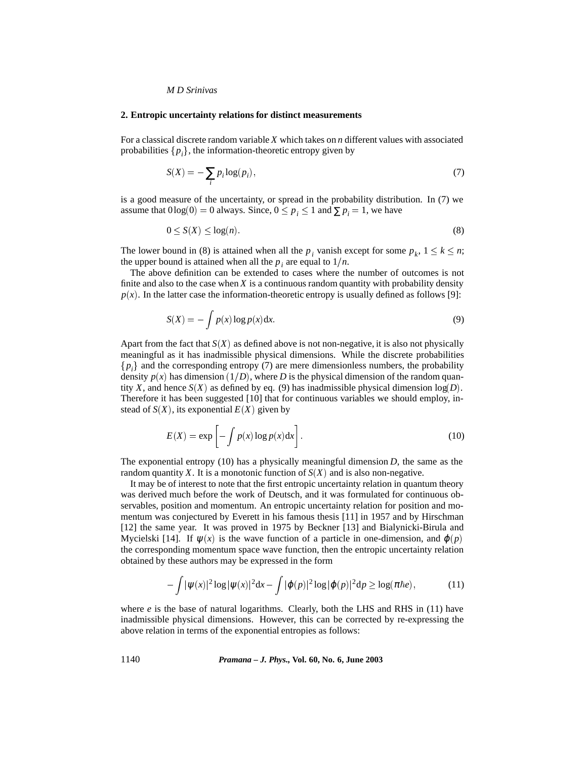## **2. Entropic uncertainty relations for distinct measurements**

For a classical discrete random variable *X* which takes on *n* different values with associated probabilities  $\{p_i\}$ , the information-theoretic entropy given by

$$
S(X) = -\sum_{i} p_i \log(p_i),\tag{7}
$$

is a good measure of the uncertainty, or spread in the probability distribution. In (7) we assume that  $0\log(0) = 0$  always. Since,  $0 \le p_i \le 1$  and  $\sum p_i = 1$ , we have

$$
0 \le S(X) \le \log(n). \tag{8}
$$

The lower bound in (8) is attained when all the  $p_i$  vanish except for some  $p_k$ ,  $1 \leq k \leq n$ ; the upper bound is attained when all the  $p_i$  are equal to  $1/n$ .

The above definition can be extended to cases where the number of outcomes is not finite and also to the case when  $X$  is a continuous random quantity with probability density  $p(x)$ . In the latter case the information-theoretic entropy is usually defined as follows [9]:

$$
S(X) = -\int p(x) \log p(x) dx.
$$
 (9)

Apart from the fact that  $S(X)$  as defined above is not non-negative, it is also not physically meaningful as it has inadmissible physical dimensions. While the discrete probabilities  $\{p_i\}$  and the corresponding entropy (7) are mere dimensionless numbers, the probability density  $p(x)$  has dimension  $(1/D)$ , where *D* is the physical dimension of the random quantity *X*, and hence  $S(X)$  as defined by eq. (9) has inadmissible physical dimension  $log(D)$ . Therefore it has been suggested [10] that for continuous variables we should employ, instead of  $S(X)$ , its exponential  $E(X)$  given by

$$
E(X) = \exp\left[-\int p(x)\log p(x)dx\right].
$$
 (10)

The exponential entropy (10) has a physically meaningful dimension *D*, the same as the random quantity *X*. It is a monotonic function of  $S(X)$  and is also non-negative.

It may be of interest to note that the first entropic uncertainty relation in quantum theory was derived much before the work of Deutsch, and it was formulated for continuous observables, position and momentum. An entropic uncertainty relation for position and momentum was conjectured by Everett in his famous thesis [11] in 1957 and by Hirschman [12] the same year. It was proved in 1975 by Beckner [13] and Bialynicki-Birula and Mycielski [14]. If  $\psi(x)$  is the wave function of a particle in one-dimension, and  $\varphi(p)$ the corresponding momentum space wave function, then the entropic uncertainty relation obtained by these authors may be expressed in the form

$$
-\int |\psi(x)|^2 \log |\psi(x)|^2 dx - \int |\varphi(p)|^2 \log |\varphi(p)|^2 dp \ge \log(\pi \hbar e), \tag{11}
$$

where  $e$  is the base of natural logarithms. Clearly, both the LHS and RHS in (11) have inadmissible physical dimensions. However, this can be corrected by re-expressing the above relation in terms of the exponential entropies as follows: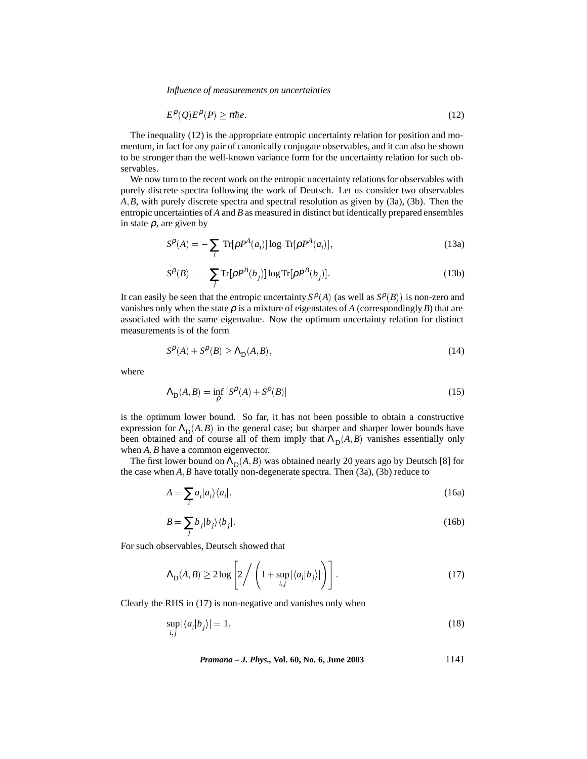$$
E^{\rho}(Q)E^{\rho}(P) \ge \pi \hbar e. \tag{12}
$$

The inequality (12) is the appropriate entropic uncertainty relation for position and momentum, in fact for any pair of canonically conjugate observables, and it can also be shown to be stronger than the well-known variance form for the uncertainty relation for such observables.

We now turn to the recent work on the entropic uncertainty relations for observables with purely discrete spectra following the work of Deutsch. Let us consider two observables *A*, *B*, with purely discrete spectra and spectral resolution as given by (3a), (3b). Then the entropic uncertainties of *A* and *B* as measured in distinct but identically prepared ensembles in state  $\rho$ , are given by

$$
S^{\rho}(A) = -\sum_{i} \text{Tr}[\rho P^{A}(a_{i})] \log \text{Tr}[\rho P^{A}(a_{i})], \qquad (13a)
$$

$$
S^{\rho}(B) = -\sum_{j} \text{Tr}[\rho P^{B}(b_{j})] \log \text{Tr}[\rho P^{B}(b_{j})]. \qquad (13b)
$$

It can easily be seen that the entropic uncertainty  $S^{\rho}(A)$  (as well as  $S^{\rho}(B)$ ) is non-zero and vanishes only when the state  $\rho$  is a mixture of eigenstates of *A* (correspondingly *B*) that are associated with the same eigenvalue. Now the optimum uncertainty relation for distinct measurements is of the form

$$
S^{\rho}(A) + S^{\rho}(B) \ge \Lambda_{\mathcal{D}}(A, B),\tag{14}
$$

where

$$
\Lambda_{\mathcal{D}}(A,B) = \inf_{\rho} \left[ S^{\rho}(A) + S^{\rho}(B) \right] \tag{15}
$$

is the optimum lower bound. So far, it has not been possible to obtain a constructive expression for  $\Lambda_{\text{D}}(A, B)$  in the general case; but sharper and sharper lower bounds have been obtained and of course all of them imply that  $\Lambda_D(A, B)$  vanishes essentially only when *A*, *B* have a common eigenvector.

The first lower bound on  $\Lambda_{\text{D}}(A, B)$  was obtained nearly 20 years ago by Deutsch [8] for the case when  $A$ ,  $B$  have totally non-degenerate spectra. Then  $(3a)$ ,  $(3b)$  reduce to

$$
A = \sum_{i} a_i |a_i\rangle\langle a_i|,\tag{16a}
$$

$$
B = \sum_{j} b_j |b_j\rangle\langle b_j|.\tag{16b}
$$

For such observables, Deutsch showed that

$$
\Lambda_{\mathcal{D}}(A,B) \ge 2\log\left[2\bigg/\left(1+\sup_{i,j}|\langle a_i|b_j\rangle|\right)\right].\tag{17}
$$

Clearly the RHS in (17) is non-negative and vanishes only when

$$
\sup_{i,j} |\langle a_i | b_j \rangle| = 1,\tag{18}
$$

*Pramana – J. Phys.,* **Vol. 60, No. 6, June 2003** 1141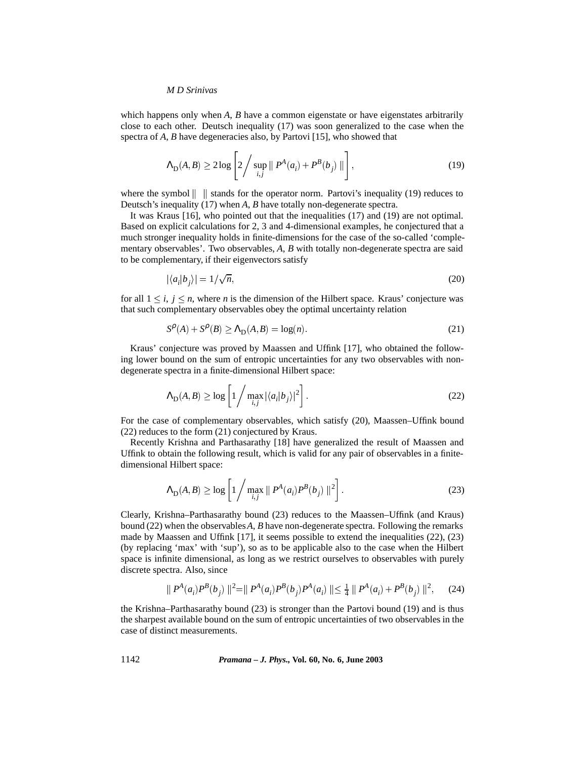which happens only when *A*, *B* have a common eigenstate or have eigenstates arbitrarily close to each other. Deutsch inequality (17) was soon generalized to the case when the spectra of *A*, *B* have degeneracies also, by Partovi [15], who showed that

$$
\Lambda_{\mathcal{D}}(A,B) \ge 2\log\left[2\Big/\sup_{i,j} \|P^A(a_i) + P^B(b_j)\|\right],
$$
\n(19)

where the symbol  $\|$  | stands for the operator norm. Partovi's inequality (19) reduces to Deutsch's inequality (17) when *A*, *B* have totally non-degenerate spectra.

It was Kraus [16], who pointed out that the inequalities (17) and (19) are not optimal. Based on explicit calculations for 2, 3 and 4-dimensional examples, he conjectured that a much stronger inequality holds in finite-dimensions for the case of the so-called 'complementary observables'. Two observables, *A*, *B* with totally non-degenerate spectra are said to be complementary, if their eigenvectors satisfy

$$
|\langle a_i | b_j \rangle| = 1/\sqrt{n},\tag{20}
$$

for all  $1 \le i, j \le n$ , where *n* is the dimension of the Hilbert space. Kraus' conjecture was that such complementary observables obey the optimal uncertainty relation

$$
S^{\rho}(A) + S^{\rho}(B) \ge \Lambda_{\mathcal{D}}(A, B) = \log(n). \tag{21}
$$

Kraus' conjecture was proved by Maassen and Uffink [17], who obtained the following lower bound on the sum of entropic uncertainties for any two observables with nondegenerate spectra in a finite-dimensional Hilbert space:

$$
\Lambda_{\mathcal{D}}(A,B) \ge \log \left[ 1 / \max_{i,j} |\langle a_i | b_j \rangle|^2 \right].
$$
\n(22)

For the case of complementary observables, which satisfy (20), Maassen–Uffink bound (22) reduces to the form (21) conjectured by Kraus.

Recently Krishna and Parthasarathy [18] have generalized the result of Maassen and Uffink to obtain the following result, which is valid for any pair of observables in a finitedimensional Hilbert space:

$$
\Lambda_{\mathcal{D}}(A,B) \ge \log \left[ 1 / \max_{i,j} \| P^A(a_i) P^B(b_j) \|^2 \right].
$$
 (23)

Clearly, Krishna–Parthasarathy bound (23) reduces to the Maassen–Uffink (and Kraus) bound (22) when the observables*A*, *B* have non-degenerate spectra. Following the remarks made by Maassen and Uffink [17], it seems possible to extend the inequalities (22), (23) (by replacing 'max' with 'sup'), so as to be applicable also to the case when the Hilbert space is infinite dimensional, as long as we restrict ourselves to observables with purely discrete spectra. Also, since

$$
\| P^A(a_i) P^B(b_j) \|^2 = \| P^A(a_i) P^B(b_j) P^A(a_i) \|\leq \frac{1}{4} \| P^A(a_i) + P^B(b_j) \|^2, \tag{24}
$$

the Krishna–Parthasarathy bound (23) is stronger than the Partovi bound (19) and is thus the sharpest available bound on the sum of entropic uncertainties of two observables in the case of distinct measurements.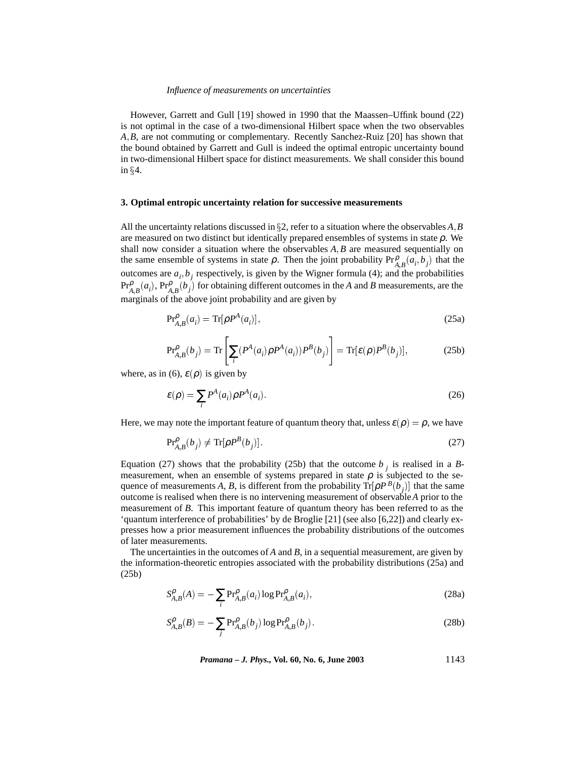However, Garrett and Gull [19] showed in 1990 that the Maassen–Uffink bound (22) is not optimal in the case of a two-dimensional Hilbert space when the two observables *A*; *B*, are not commuting or complementary. Recently Sanchez-Ruiz [20] has shown that the bound obtained by Garrett and Gull is indeed the optimal entropic uncertainty bound in two-dimensional Hilbert space for distinct measurements. We shall consider this bound in  $§4$ .

## **3. Optimal entropic uncertainty relation for successive measurements**

All the uncertainty relations discussed in  $\S2$ , refer to a situation where the observables *A*, *B* are measured on two distinct but identically prepared ensembles of systems in state  $\rho$ . We shall now consider a situation where the observables *A*; *B* are measured sequentially on the same ensemble of systems in state  $\rho$ . Then the joint probability  $Pr^{\rho}_{A,B}(a_i, b_j)$  that the outcomes are  $a_i$ ,  $b_j$  respectively, is given by the Wigner formula (4); and the probabilities  $\Pr^{\rho}_{A,B}(a_i)$ ,  $\Pr^{\rho}_{A,B}(b_j)$  for obtaining different outcomes in the *A* and *B* measurements, are the marginals of the above joint probability and are given by

$$
\Pr_{A,B}^{\rho}(a_i) = \text{Tr}[\rho P^A(a_i)],\tag{25a}
$$

$$
\Pr_{A,B}^{\rho}(b_j) = \text{Tr}\left[\sum_i (P^A(a_i)\rho P^A(a_i))P^B(b_j)\right] = \text{Tr}[\varepsilon(\rho)P^B(b_j)],\tag{25b}
$$

where, as in (6),  $\varepsilon(\rho)$  is given by

$$
\varepsilon(\rho) = \sum_{i} P^{A}(a_{i}) \rho P^{A}(a_{i}).
$$
\n(26)

Here, we may note the important feature of quantum theory that, unless  $\varepsilon(\rho) = \rho$ , we have

$$
\Pr_{A,B}^{\rho}(b_j) \neq \text{Tr}[\rho P^B(b_j)].\tag{27}
$$

Equation (27) shows that the probability (25b) that the outcome  $b_j$  is realised in a *B*measurement, when an ensemble of systems prepared in state  $\rho$  is subjected to the sequence of measurements *A*, *B*, is different from the probability  $\text{Tr}[\rho P^{B}(b_i)]$  that the same outcome is realised when there is no intervening measurement of observable*A* prior to the measurement of *B*. This important feature of quantum theory has been referred to as the 'quantum interference of probabilities' by de Broglie [21] (see also [6,22]) and clearly expresses how a prior measurement influences the probability distributions of the outcomes of later measurements.

The uncertainties in the outcomes of *A* and *B*, in a sequential measurement, are given by the information-theoretic entropies associated with the probability distributions (25a) and (25b)

$$
S_{A,B}^{\rho}(A) = -\sum_{i} \Pr_{A,B}^{\rho}(a_i) \log \Pr_{A,B}^{\rho}(a_i), \qquad (28a)
$$

$$
S_{A,B}^{\rho}(B) = -\sum_{j} \Pr_{A,B}^{\rho}(b_j) \log \Pr_{A,B}^{\rho}(b_j).
$$
 (28b)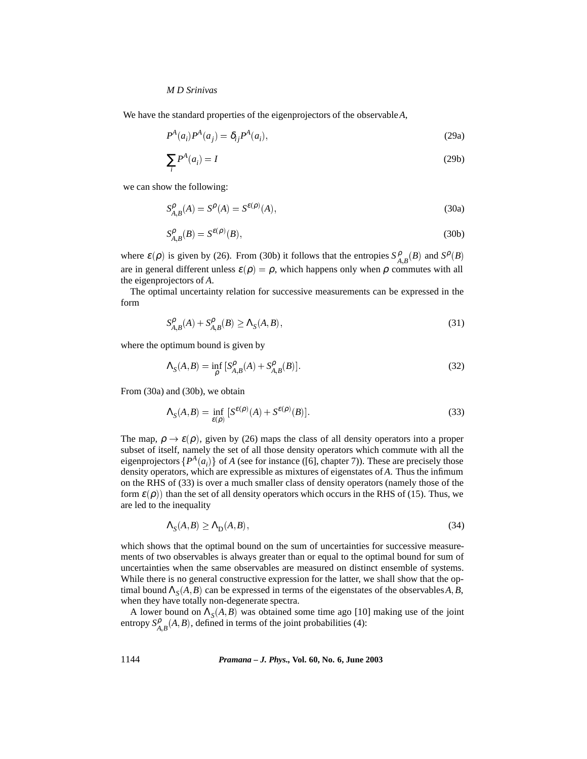We have the standard properties of the eigenprojectors of the observable*A*,

$$
P^A(a_i)P^A(a_j) = \delta_{ij}P^A(a_i),\tag{29a}
$$

$$
\sum_{i} P^{A}(a_{i}) = I \tag{29b}
$$

we can show the following:

$$
S_{A,B}^{\rho}(A) = S^{\rho}(A) = S^{\varepsilon(\rho)}(A),\tag{30a}
$$

$$
S_{A,B}^{\rho}(B) = S^{\varepsilon(\rho)}(B),\tag{30b}
$$

where  $\varepsilon(\rho)$  is given by (26). From (30b) it follows that the entropies  $S^{\rho}_{A,B}(B)$  and  $S^{\rho}(B)$ are in general different unless  $\varepsilon(\rho) = \rho$ , which happens only when  $\rho$  commutes with all the eigenprojectors of *A*.

The optimal uncertainty relation for successive measurements can be expressed in the form

$$
S_{A,B}^{\rho}(A) + S_{A,B}^{\rho}(B) \ge \Lambda_S(A,B),\tag{31}
$$

where the optimum bound is given by

$$
\Lambda_{S}(A,B) = \inf_{\rho} [S_{A,B}^{\rho}(A) + S_{A,B}^{\rho}(B)].
$$
\n(32)

From (30a) and (30b), we obtain

$$
\Lambda_S(A,B) = \inf_{\varepsilon(\rho)} \left[ S^{\varepsilon(\rho)}(A) + S^{\varepsilon(\rho)}(B) \right].
$$
\n(33)

The map,  $\rho \rightarrow \varepsilon(\rho)$ , given by (26) maps the class of all density operators into a proper subset of itself, namely the set of all those density operators which commute with all the eigenprojectors  $\{P^A(a_i)\}\$  of *A* (see for instance ([6], chapter 7)). These are precisely those density operators, which are expressible as mixtures of eigenstates of *A*. Thus the infimum on the RHS of (33) is over a much smaller class of density operators (namely those of the form  $\varepsilon(\rho)$ ) than the set of all density operators which occurs in the RHS of (15). Thus, we are led to the inequality

$$
\Lambda_{\mathcal{S}}(A,B) \ge \Lambda_{\mathcal{D}}(A,B),\tag{34}
$$

which shows that the optimal bound on the sum of uncertainties for successive measurements of two observables is always greater than or equal to the optimal bound for sum of uncertainties when the same observables are measured on distinct ensemble of systems. While there is no general constructive expression for the latter, we shall show that the optimal bound  $\Lambda_S(A, B)$  can be expressed in terms of the eigenstates of the observables A, B, when they have totally non-degenerate spectra.

A lower bound on  $\Lambda_S(A, B)$  was obtained some time ago [10] making use of the joint entropy  $S_{A,B}^{\rho}(A,B)$ , defined in terms of the joint probabilities (4):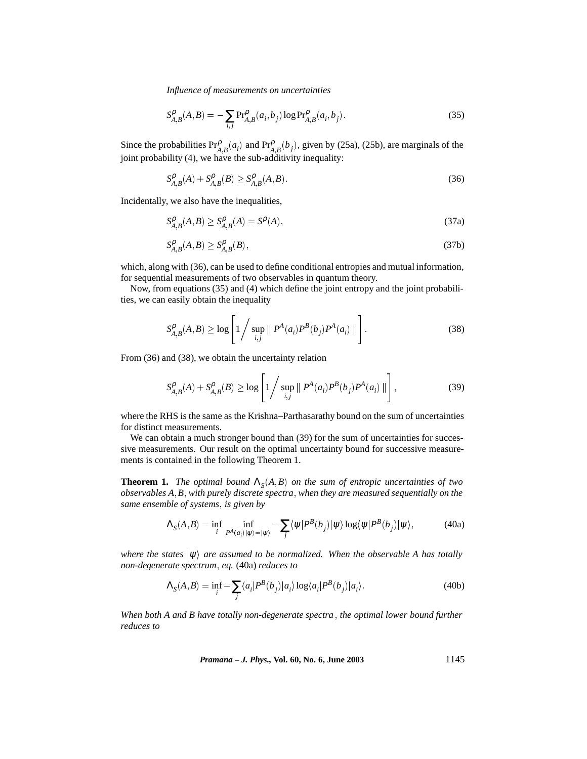$$
S_{A,B}^{\rho}(A,B) = -\sum_{i,j} \Pr_{A,B}^{\rho}(a_i, b_j) \log \Pr_{A,B}^{\rho}(a_i, b_j).
$$
 (35)

Since the probabilities  $Pr^{\rho}_{A,B}(a_i)$  and  $Pr^{\rho}_{A,B}(b_j)$ , given by (25a), (25b), are marginals of the joint probability (4), we have the sub-additivity inequality:

$$
S_{A,B}^{\rho}(A) + S_{A,B}^{\rho}(B) \ge S_{A,B}^{\rho}(A,B). \tag{36}
$$

Incidentally, we also have the inequalities,

$$
S_{A,B}^{\rho}(A,B) \ge S_{A,B}^{\rho}(A) = S^{\rho}(A),\tag{37a}
$$

$$
S_{A,B}^{\rho}(A,B) \ge S_{A,B}^{\rho}(B),\tag{37b}
$$

which, along with (36), can be used to define conditional entropies and mutual information, for sequential measurements of two observables in quantum theory.

Now, from equations (35) and (4) which define the joint entropy and the joint probabilities, we can easily obtain the inequality

$$
S_{A,B}^{\rho}(A,B) \ge \log \left[ 1 / \sup_{i,j} \| P^A(a_i) P^B(b_j) P^A(a_i) \| \right].
$$
 (38)

From (36) and (38), we obtain the uncertainty relation

$$
S_{A,B}^{\rho}(A) + S_{A,B}^{\rho}(B) \ge \log \left[ 1 / \sup_{i,j} \| P^A(a_i) P^B(b_j) P^A(a_i) \| \right],
$$
 (39)

where the RHS is the same as the Krishna–Parthasarathy bound on the sum of uncertainties for distinct measurements.

We can obtain a much stronger bound than  $(39)$  for the sum of uncertainties for successive measurements. Our result on the optimal uncertainty bound for successive measurements is contained in the following Theorem 1.

**Theorem 1.** *The optimal bound*  $\Lambda_S(A, B)$  *on the sum of entropic uncertainties of two observables A*; *B*; *with purely discrete spectra*; *when they are measured sequentially on the same ensemble of systems*; *is given by*

$$
\Lambda_{S}(A,B) = \inf_{i} \inf_{P^{A}(a_{i})|\psi\rangle = |\psi\rangle} - \sum_{j} \langle \psi|P^{B}(b_{j})|\psi\rangle \log \langle \psi|P^{B}(b_{j})|\psi\rangle, \tag{40a}
$$

*where the states*  $|\psi\rangle$  *are assumed to be normalized. When the observable A has totally non-degenerate spectrum* ; *eq.* (40a) *reduces to*

$$
\Lambda_{S}(A,B) = \inf_{i} - \sum_{j} \langle a_{i} | P^{B}(b_{j}) | a_{i} \rangle \log \langle a_{i} | P^{B}(b_{j}) | a_{i} \rangle. \tag{40b}
$$

*When both A and B have totally non-degenerate spectra* ; *the optimal lower bound further reduces to*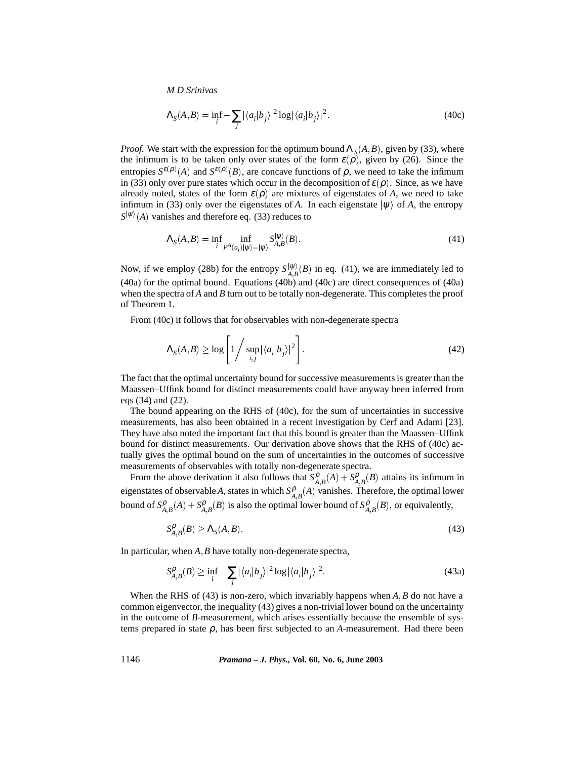$$
\Lambda_S(A, B) = \inf_i - \sum_j |\langle a_i | b_j \rangle|^2 \log |\langle a_i | b_j \rangle|^2.
$$
\n(40c)

*Proof.* We start with the expression for the optimum bound  $\Lambda_{\rm s}(A,B)$ , given by (33), where the infimum is to be taken only over states of the form  $\varepsilon(\rho)$ , given by (26). Since the entropies  $S^{\varepsilon(\rho)}(A)$  and  $S^{\varepsilon(\rho)}(B)$ , are concave functions of  $\rho$ , we need to take the infimum in (33) only over pure states which occur in the decomposition of  $\varepsilon(\rho)$ . Since, as we have already noted, states of the form  $\varepsilon(\rho)$  are mixtures of eigenstates of A, we need to take infimum in (33) only over the eigenstates of *A*. In each eigenstate  $|\psi\rangle$  of *A*, the entropy  $S^{|\psi\rangle}(A)$  vanishes and therefore eq. (33) reduces to

$$
\Lambda_S(A,B) = \inf_i \inf_{P^A(a_i)|\psi\rangle = |\psi\rangle} S_{A,B}^{|\psi\rangle}(B). \tag{41}
$$

Now, if we employ (28b) for the entropy  $S_{A,B}^{|\psi\rangle}(B)$  in eq. (41), we are immediately led to (40a) for the optimal bound. Equations (40b) and (40c) are direct consequences of (40a) when the spectra of *A* and *B* turn out to be totally non-degenerate. This completes the proof of Theorem 1.

From (40c) it follows that for observables with non-degenerate spectra

$$
\Lambda_S(A,B) \ge \log \left[ 1 / \sup_{i,j} |\langle a_i | b_j \rangle|^2 \right]. \tag{42}
$$

The fact that the optimal uncertainty bound for successive measurements is greater than the Maassen–Uffink bound for distinct measurements could have anyway been inferred from eqs (34) and (22).

The bound appearing on the RHS of (40c), for the sum of uncertainties in successive measurements, has also been obtained in a recent investigation by Cerf and Adami [23]. They have also noted the important fact that this bound is greater than the Maassen–Uffink bound for distinct measurements. Our derivation above shows that the RHS of (40c) actually gives the optimal bound on the sum of uncertainties in the outcomes of successive measurements of observables with totally non-degenerate spectra.

From the above derivation it also follows that  $S_{A,B}^{\rho}(A) + S_{A,B}^{\rho}(B)$  attains its infimum in eigenstates of observable *A*, states in which  $S_{A,B}^{\rho}(A)$  vanishes. Therefore, the optimal lower bound of  $S_{A,B}^{\rho}(A) + S_{A,B}^{\rho}(B)$  is also the optimal lower bound of  $S_{A,B}^{\rho}(B)$ , or equivalently,

$$
S_{A,B}^{\rho}(B) \ge \Lambda_S(A,B). \tag{43}
$$

In particular, when *A*, *B* have totally non-degenerate spectra,

$$
S_{A,B}^{\rho}(B) \ge \inf_{i} -\sum_{j} |\langle a_i | b_j \rangle|^2 \log |\langle a_i | b_j \rangle|^2. \tag{43a}
$$

When the RHS of  $(43)$  is non-zero, which invariably happens when  $A, B$  do not have a common eigenvector, the inequality (43) gives a non-trivial lower bound on the uncertainty in the outcome of *B*-measurement, which arises essentially because the ensemble of systems prepared in state  $\rho$ , has been first subjected to an *A*-measurement. Had there been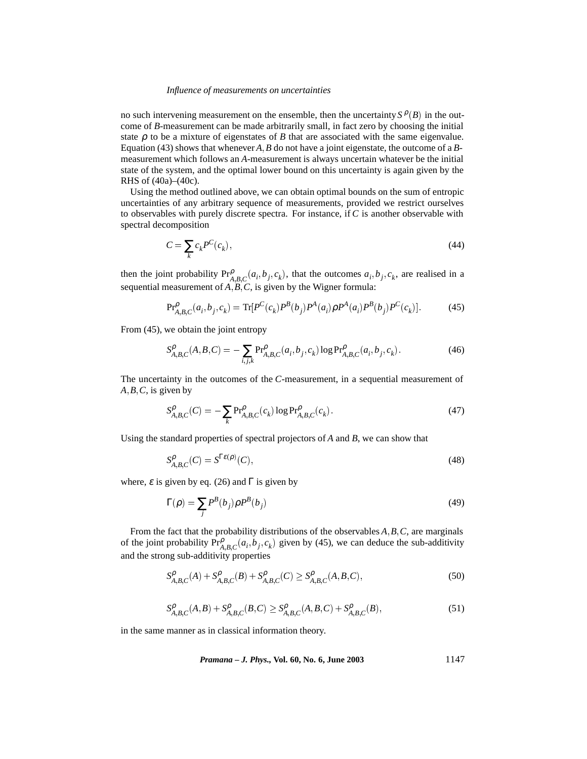no such intervening measurement on the ensemble, then the uncertainty  $S^{\rho}(B)$  in the outcome of *B*-measurement can be made arbitrarily small, in fact zero by choosing the initial state  $\rho$  to be a mixture of eigenstates of *B* that are associated with the same eigenvalue. Equation (43) shows that whenever  $A$ ,  $B$  do not have a joint eigenstate, the outcome of a  $B$ measurement which follows an *A*-measurement is always uncertain whatever be the initial state of the system, and the optimal lower bound on this uncertainty is again given by the RHS of (40a)–(40c).

Using the method outlined above, we can obtain optimal bounds on the sum of entropic uncertainties of any arbitrary sequence of measurements, provided we restrict ourselves to observables with purely discrete spectra. For instance, if *C* is another observable with spectral decomposition

$$
C = \sum_{k} c_k P^C(c_k),\tag{44}
$$

then the joint probability  $Pr^{\rho}_{A,B,C}(a_i, b_j, c_k)$ , that the outcomes  $a_i, b_j, c_k$ , are realised in a sequential measurement of  $\overrightarrow{A}$ ,  $\overrightarrow{B}$ ,  $\overrightarrow{C}$ , is given by the Wigner formula:

$$
Pr_{A,B,C}^{P}(a_i, b_j, c_k) = Tr[P^C(c_k)P^B(b_j)P^A(a_i)P^A(a_i)P^B(b_j)P^C(c_k)].
$$
 (45)

From (45), we obtain the joint entropy

$$
S_{A,B,C}^{\rho}(A,B,C) = -\sum_{i,j,k} \Pr_{A,B,C}^{\rho}(a_i, b_j, c_k) \log \Pr_{A,B,C}^{\rho}(a_i, b_j, c_k).
$$
 (46)

The uncertainty in the outcomes of the *C*-measurement, in a sequential measurement of  $A, B, C$ , is given by

$$
S_{A,B,C}^{\rho}(C) = -\sum_{k} \Pr_{A,B,C}^{\rho}(c_k) \log \Pr_{A,B,C}^{\rho}(c_k).
$$
 (47)

Using the standard properties of spectral projectors of *A* and *B*, we can show that

$$
S_{A,B,C}^{\rho}(C) = S^{\Gamma\epsilon(\rho)}(C),\tag{48}
$$

where,  $\varepsilon$  is given by eq. (26) and  $\Gamma$  is given by

$$
\Gamma(\rho) = \sum_{j} P^{B}(b_{j}) \rho P^{B}(b_{j})
$$
\n(49)

From the fact that the probability distributions of the observables *A*; *B*; *C*, are marginals of the joint probability  $Pr^{\rho}_{A,B,C}(a_i, b_j, c_k)$  given by (45), we can deduce the sub-additivity and the strong sub-additivity properties

$$
S_{A,B,C}^{\rho}(A) + S_{A,B,C}^{\rho}(B) + S_{A,B,C}^{\rho}(C) \ge S_{A,B,C}^{\rho}(A,B,C),
$$
\n(50)

$$
S_{A,B,C}^{\rho}(A,B) + S_{A,B,C}^{\rho}(B,C) \ge S_{A,B,C}^{\rho}(A,B,C) + S_{A,B,C}^{\rho}(B),
$$
\n(51)

in the same manner as in classical information theory.

*Pramana – J. Phys.,* **Vol. 60, No. 6, June 2003** 1147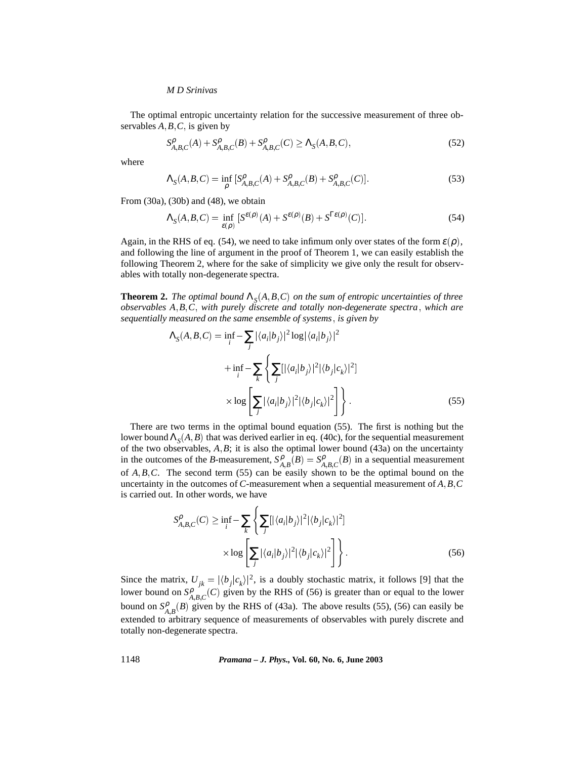The optimal entropic uncertainty relation for the successive measurement of three observables  $A, B, C$ , is given by

$$
S_{A,B,C}^{\rho}(A) + S_{A,B,C}^{\rho}(B) + S_{A,B,C}^{\rho}(C) \ge \Lambda_S(A,B,C),
$$
\n(52)

where

$$
\Lambda_{S}(A,B,C) = \inf_{\rho} [S_{A,B,C}^{\rho}(A) + S_{A,B,C}^{\rho}(B) + S_{A,B,C}^{\rho}(C)].
$$
\n(53)

From (30a), (30b) and (48), we obtain

$$
\Lambda_S(A, B, C) = \inf_{\varepsilon(\rho)} \left[ S^{\varepsilon(\rho)}(A) + S^{\varepsilon(\rho)}(B) + S^{\Gamma\varepsilon(\rho)}(C) \right].
$$
\n(54)

Again, in the RHS of eq. (54), we need to take infimum only over states of the form  $\varepsilon(\rho)$ , and following the line of argument in the proof of Theorem 1, we can easily establish the following Theorem 2, where for the sake of simplicity we give only the result for observables with totally non-degenerate spectra.

**Theorem 2.** *The optimal bound*  $\Lambda_{\mathcal{S}}(A, B, C)$  *on the sum of entropic uncertainties of three observables A*; *B*; *C*; *with purely discrete and totally non-degenerate spectra* ; *which are sequentially measured on the same ensemble of systems* ; *is given by*

$$
\Lambda_{S}(A,B,C) = \inf_{i} - \sum_{j} |\langle a_{i}|b_{j}\rangle|^{2} \log |\langle a_{i}|b_{j}\rangle|^{2}
$$

$$
+ \inf_{i} - \sum_{k} \left\{ \sum_{j} [|\langle a_{i}|b_{j}\rangle|^{2} |\langle b_{j}|c_{k}\rangle|^{2}] \right\}
$$

$$
\times \log \left[ \sum_{j} |\langle a_{i}|b_{j}\rangle|^{2} |\langle b_{j}|c_{k}\rangle|^{2} \right] \right\}.
$$
(55)

There are two terms in the optimal bound equation (55). The first is nothing but the lower bound  $\Lambda_{\mathcal{S}}(A, B)$  that was derived earlier in eq. (40c), for the sequential measurement of the two observables,  $A, B$ ; it is also the optimal lower bound (43a) on the uncertainty in the outcomes of the *B*-measurement,  $S_{A,B}^{\rho}(B) = S_{A,B,C}^{\rho}(B)$  in a sequential measurement of *A*; *B*; *C*. The second term (55) can be easily shown to be the optimal bound on the uncertainty in the outcomes of *C*-measurement when a sequential measurement of  $A, B, C$ is carried out. In other words, we have

$$
S_{A,B,C}^{\rho}(C) \ge \inf_{i} - \sum_{k} \left\{ \sum_{j} [|\langle a_{i} | b_{j} \rangle|^{2} |\langle b_{j} | c_{k} \rangle|^{2}] \right\}
$$

$$
\times \log \left[ \sum_{j} |\langle a_{i} | b_{j} \rangle|^{2} |\langle b_{j} | c_{k} \rangle|^{2} \right] \right\}.
$$
(56)

Since the matrix,  $U_{jk} = |\langle b_j | c_k \rangle|^2$ , is a doubly stochastic matrix, it follows [9] that the lower bound on  $S_{A,B,C}^{\rho}(C)$  given by the RHS of (56) is greater than or equal to the lower bound on  $S_{A,B}^{\rho}(B)$  given by the RHS of (43a). The above results (55), (56) can easily be extended to arbitrary sequence of measurements of observables with purely discrete and totally non-degenerate spectra.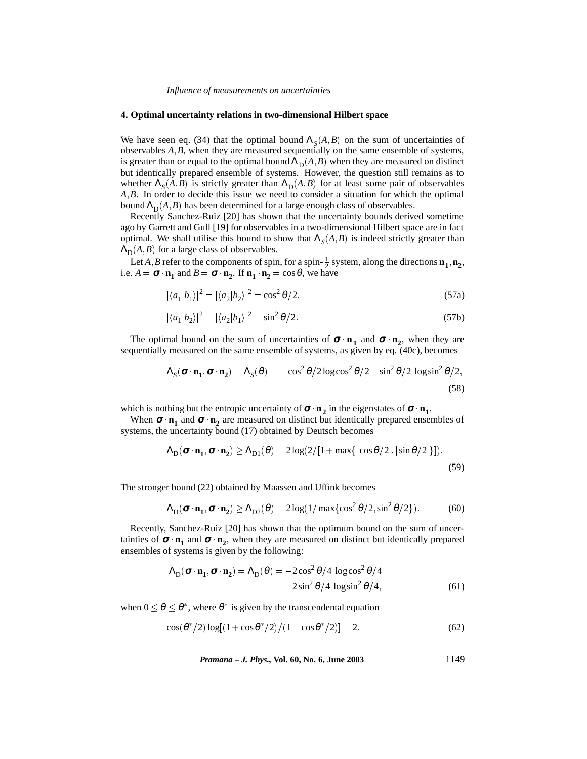#### **4. Optimal uncertainty relations in two-dimensional Hilbert space**

We have seen eq. (34) that the optimal bound  $\Lambda_{S}(A,B)$  on the sum of uncertainties of observables *A*; *B*, when they are measured sequentially on the same ensemble of systems, is greater than or equal to the optimal bound  $\Lambda_D(A, B)$  when they are measured on distinct but identically prepared ensemble of systems. However, the question still remains as to whether  $\Lambda_S(A, B)$  is strictly greater than  $\Lambda_D(A, B)$  for at least some pair of observables *A*; *B*. In order to decide this issue we need to consider a situation for which the optimal bound  $\Lambda_{\text{D}}(A, B)$  has been determined for a large enough class of observables.

Recently Sanchez-Ruiz [20] has shown that the uncertainty bounds derived sometime ago by Garrett and Gull [19] for observables in a two-dimensional Hilbert space are in fact optimal. We shall utilise this bound to show that  $\Lambda_S(A, B)$  is indeed strictly greater than  $\Lambda_{\text{D}}(A, B)$  for a large class of observables.

Let *A*, *B* refer to the components of spin, for a spin- $\frac{1}{2}$  system, along the directions  $\mathbf{n}_1, \mathbf{n}_2$ , i.e.  $A = \sigma \cdot \mathbf{n}_1$  and  $B = \sigma \cdot \mathbf{n}_2$ . If  $\mathbf{n}_1 \cdot \mathbf{n}_2 = \cos \theta$ , we have

$$
|\langle a_1|b_1\rangle|^2 = |\langle a_2|b_2\rangle|^2 = \cos^2\theta/2,
$$
\n(57a)

$$
|\langle a_1 | b_2 \rangle|^2 = |\langle a_2 | b_1 \rangle|^2 = \sin^2 \theta / 2. \tag{57b}
$$

The optimal bound on the sum of uncertainties of  $\sigma$  **n**<sub>1</sub> and  $\sigma$  **n**<sub>2</sub>, when they are sequentially measured on the same ensemble of systems, as given by eq. (40c), becomes

$$
\Lambda_S(\boldsymbol{\sigma} \cdot \mathbf{n_1}, \boldsymbol{\sigma} \cdot \mathbf{n_2}) = \Lambda_S(\boldsymbol{\theta}) = -\cos^2 \theta / 2 \log \cos^2 \theta / 2 - \sin^2 \theta / 2 \log \sin^2 \theta / 2,
$$
\n(58)

which is nothing but the entropic uncertainty of  $\sigma$  **n**<sub>2</sub> in the eigenstates of  $\sigma$  **n**<sub>1</sub>.

When  $\sigma \cdot n_1$  and  $\sigma \cdot n_2$  are measured on distinct but identically prepared ensembles of systems, the uncertainty bound (17) obtained by Deutsch becomes

$$
\Lambda_{\mathcal{D}}(\boldsymbol{\sigma} \cdot \mathbf{n}_{1}, \boldsymbol{\sigma} \cdot \mathbf{n}_{2}) \geq \Lambda_{\mathcal{D}1}(\boldsymbol{\theta}) = 2\log(2/[1 + \max\{|\cos\theta/2|, |\sin\theta/2|\}]).
$$
\n(59)

The stronger bound (22) obtained by Maassen and Uffink becomes

$$
\Lambda_{\mathcal{D}}(\boldsymbol{\sigma} \cdot \mathbf{n_1}, \boldsymbol{\sigma} \cdot \mathbf{n_2}) \ge \Lambda_{\mathcal{D}2}(\boldsymbol{\theta}) = 2\log(1/\max\{\cos^2 \theta/2, \sin^2 \theta/2\}).
$$
 (60)

Recently, Sanchez-Ruiz [20] has shown that the optimum bound on the sum of uncertainties of  $\sigma$  **n<sub>1</sub>** and  $\sigma$  **n**<sub>2</sub>, when they are measured on distinct but identically prepared ensembles of systems is given by the following:

$$
\Lambda_{\mathcal{D}}(\boldsymbol{\sigma} \cdot \mathbf{n}_{1}, \boldsymbol{\sigma} \cdot \mathbf{n}_{2}) = \Lambda_{\mathcal{D}}(\boldsymbol{\theta}) = -2\cos^{2}\theta/4 \log \cos^{2}\theta/4
$$

$$
-2\sin^{2}\theta/4 \log \sin^{2}\theta/4,
$$
(61)

when  $0 \le \theta \le \theta^*$ , where  $\theta^*$  is given by the transcendental equation

$$
\cos(\theta^*/2)\log[(1+\cos\theta^*/2)/(1-\cos\theta^*/2)] = 2,\tag{62}
$$

*Pramana – J. Phys.,* **Vol. 60, No. 6, June 2003** 1149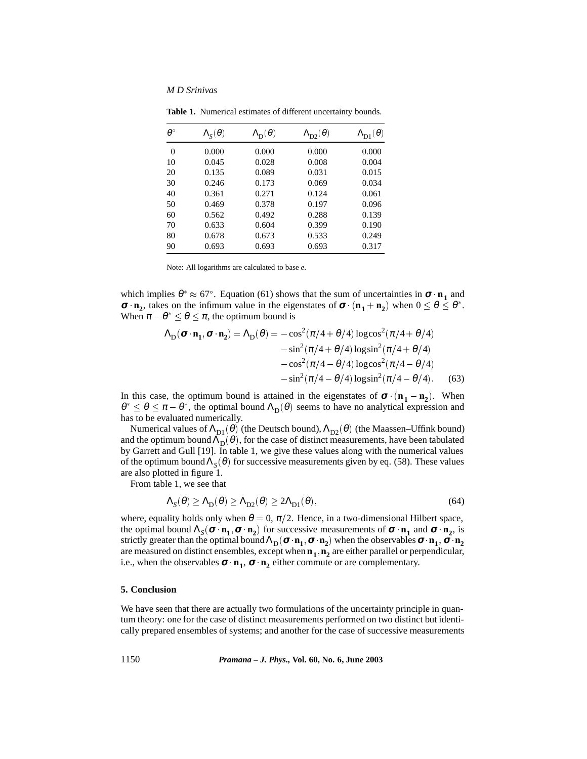| $\theta^{\circ}$ | $\Lambda_{\rm S}(\theta)$ | $\Lambda_{\rm D}(\theta)$ | $\Lambda_{D2}(\theta)$ | $\Lambda_{D1}(\theta)$ |
|------------------|---------------------------|---------------------------|------------------------|------------------------|
| $\theta$         | 0.000                     | 0.000                     | 0.000                  | 0.000                  |
| 10               | 0.045                     | 0.028                     | 0.008                  | 0.004                  |
| 20               | 0.135                     | 0.089                     | 0.031                  | 0.015                  |
| 30               | 0.246                     | 0.173                     | 0.069                  | 0.034                  |
| 40               | 0.361                     | 0.271                     | 0.124                  | 0.061                  |
| 50               | 0.469                     | 0.378                     | 0.197                  | 0.096                  |
| 60               | 0.562                     | 0.492                     | 0.288                  | 0.139                  |
| 70               | 0.633                     | 0.604                     | 0.399                  | 0.190                  |
| 80               | 0.678                     | 0.673                     | 0.533                  | 0.249                  |
| 90               | 0.693                     | 0.693                     | 0.693                  | 0.317                  |

**Table 1.** Numerical estimates of different uncertainty bounds.

Note: All logarithms are calculated to base *e*.

which implies  $\theta^* \approx 67^\circ$ . Equation (61) shows that the sum of uncertainties in  $\sigma \cdot \mathbf{n}_1$  and **σ n**<sub>2</sub>, takes on the infimum value in the eigenstates of  $\sigma \cdot (\mathbf{n}_1 + \mathbf{n}_2)$  when  $0 \le \theta \le \theta^*$ . When  $\pi - \theta^* \leq \theta \leq \pi$ , the optimum bound is

$$
\Lambda_{\mathbf{D}}(\boldsymbol{\sigma} \cdot \mathbf{n}_{1}, \boldsymbol{\sigma} \cdot \mathbf{n}_{2}) = \Lambda_{\mathbf{D}}(\theta) = -\cos^{2}(\pi/4 + \theta/4) \log \cos^{2}(\pi/4 + \theta/4)
$$

$$
-\sin^{2}(\pi/4 + \theta/4) \log \sin^{2}(\pi/4 + \theta/4)
$$

$$
-\cos^{2}(\pi/4 - \theta/4) \log \cos^{2}(\pi/4 - \theta/4)
$$

$$
-\sin^{2}(\pi/4 - \theta/4) \log \sin^{2}(\pi/4 - \theta/4). \tag{63}
$$

In this case, the optimum bound is attained in the eigenstates of  $\sigma$  ( $\mathbf{n_1} - \mathbf{n_2}$ ). When  $\theta^* \le \theta \le \pi - \theta^*$ , the optimal bound  $\Lambda_D(\theta)$  seems to have no analytical expression and has to be evaluated numerically.

Numerical values of  $\Lambda_{D1}(\theta)$  (the Deutsch bound),  $\Lambda_{D2}(\theta)$  (the Maassen–Uffink bound) and the optimum bound  $\Lambda_D(\theta)$ , for the case of distinct measurements, have been tabulated by Garrett and Gull [19]. In table 1, we give these values along with the numerical values of the optimum bound  $\Lambda_{\mathcal{S}}(\theta)$  for successive measurements given by eq. (58). These values are also plotted in figure 1.

From table 1, we see that

$$
\Lambda_{\mathcal{S}}(\theta) \ge \Lambda_{\mathcal{D}}(\theta) \ge \Lambda_{\mathcal{D}2}(\theta) \ge 2\Lambda_{\mathcal{D}1}(\theta),\tag{64}
$$

where, equality holds only when  $\theta = 0$ ,  $\pi/2$ . Hence, in a two-dimensional Hilbert space, the optimal bound  $\Lambda_S(\sigma \cdot \mathbf{n}_1, \sigma \cdot \mathbf{n}_2)$  for successive measurements of  $\sigma \cdot \mathbf{n}_1$  and  $\sigma \cdot \mathbf{n}_2$ , is strictly greater than the optimal bound  $\Lambda_D(\sigma \cdot \mathbf{n}_1, \sigma \cdot \mathbf{n}_2)$  when the observables  $\sigma \cdot \mathbf{n}_1$ ,  $\sigma \cdot \mathbf{n}_2$ are measured on distinct ensembles, except when  $n_1$ ,  $n_2$  are either parallel or perpendicular, i.e., when the observables  $\sigma \cdot \mathbf{n}_1$ ,  $\sigma \cdot \mathbf{n}_2$  either commute or are complementary.

# **5. Conclusion**

We have seen that there are actually two formulations of the uncertainty principle in quantum theory: one for the case of distinct measurements performed on two distinct but identically prepared ensembles of systems; and another for the case of successive measurements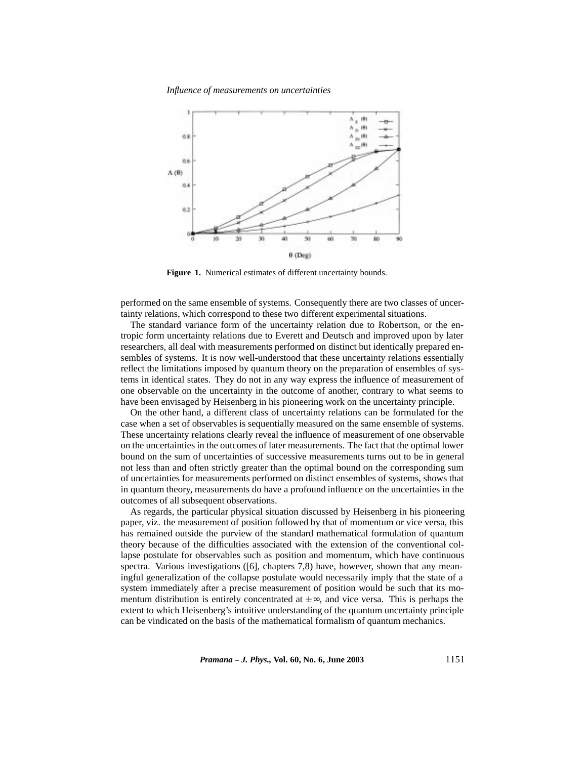

**Figure 1.** Numerical estimates of different uncertainty bounds.

performed on the same ensemble of systems. Consequently there are two classes of uncertainty relations, which correspond to these two different experimental situations.

The standard variance form of the uncertainty relation due to Robertson, or the entropic form uncertainty relations due to Everett and Deutsch and improved upon by later researchers, all deal with measurements performed on distinct but identically prepared ensembles of systems. It is now well-understood that these uncertainty relations essentially reflect the limitations imposed by quantum theory on the preparation of ensembles of systems in identical states. They do not in any way express the influence of measurement of one observable on the uncertainty in the outcome of another, contrary to what seems to have been envisaged by Heisenberg in his pioneering work on the uncertainty principle.

On the other hand, a different class of uncertainty relations can be formulated for the case when a set of observables is sequentially measured on the same ensemble of systems. These uncertainty relations clearly reveal the influence of measurement of one observable on the uncertainties in the outcomes of later measurements. The fact that the optimal lower bound on the sum of uncertainties of successive measurements turns out to be in general not less than and often strictly greater than the optimal bound on the corresponding sum of uncertainties for measurements performed on distinct ensembles of systems, shows that in quantum theory, measurements do have a profound influence on the uncertainties in the outcomes of all subsequent observations.

As regards, the particular physical situation discussed by Heisenberg in his pioneering paper, viz. the measurement of position followed by that of momentum or vice versa, this has remained outside the purview of the standard mathematical formulation of quantum theory because of the difficulties associated with the extension of the conventional collapse postulate for observables such as position and momentum, which have continuous spectra. Various investigations ([6], chapters 7,8) have, however, shown that any meaningful generalization of the collapse postulate would necessarily imply that the state of a system immediately after a precise measurement of position would be such that its momentum distribution is entirely concentrated at  $\pm \infty$ , and vice versa. This is perhaps the extent to which Heisenberg's intuitive understanding of the quantum uncertainty principle can be vindicated on the basis of the mathematical formalism of quantum mechanics.